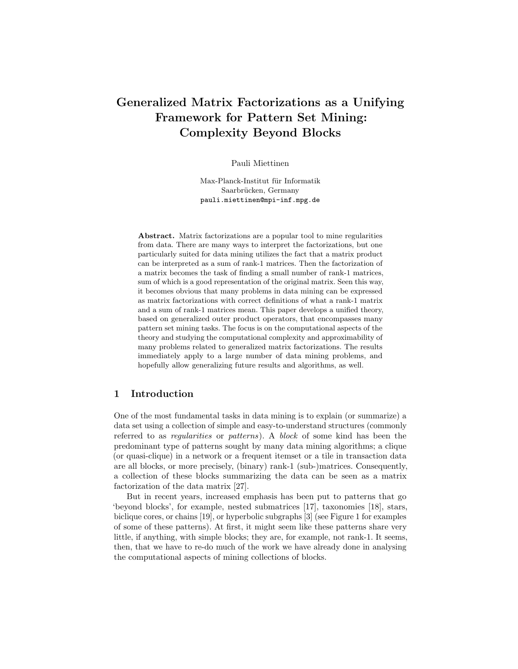# Generalized Matrix Factorizations as a Unifying Framework for Pattern Set Mining: Complexity Beyond Blocks

Pauli Miettinen

Max-Planck-Institut für Informatik Saarbrücken, Germany pauli.miettinen@mpi-inf.mpg.de

Abstract. Matrix factorizations are a popular tool to mine regularities from data. There are many ways to interpret the factorizations, but one particularly suited for data mining utilizes the fact that a matrix product can be interpreted as a sum of rank-1 matrices. Then the factorization of a matrix becomes the task of finding a small number of rank-1 matrices, sum of which is a good representation of the original matrix. Seen this way, it becomes obvious that many problems in data mining can be expressed as matrix factorizations with correct definitions of what a rank-1 matrix and a sum of rank-1 matrices mean. This paper develops a unified theory, based on generalized outer product operators, that encompasses many pattern set mining tasks. The focus is on the computational aspects of the theory and studying the computational complexity and approximability of many problems related to generalized matrix factorizations. The results immediately apply to a large number of data mining problems, and hopefully allow generalizing future results and algorithms, as well.

### 1 Introduction

One of the most fundamental tasks in data mining is to explain (or summarize) a data set using a collection of simple and easy-to-understand structures (commonly referred to as *regularities* or *patterns*). A *block* of some kind has been the predominant type of patterns sought by many data mining algorithms; a clique (or quasi-clique) in a network or a frequent itemset or a tile in transaction data are all blocks, or more precisely, (binary) rank-1 (sub-)matrices. Consequently, a collection of these blocks summarizing the data can be seen as a matrix factorization of the data matrix [27].

But in recent years, increased emphasis has been put to patterns that go 'beyond blocks', for example, nested submatrices [17], taxonomies [18], stars, biclique cores, or chains [19], or hyperbolic subgraphs [3] (see Figure 1 for examples of some of these patterns). At first, it might seem like these patterns share very little, if anything, with simple blocks; they are, for example, not rank-1. It seems, then, that we have to re-do much of the work we have already done in analysing the computational aspects of mining collections of blocks.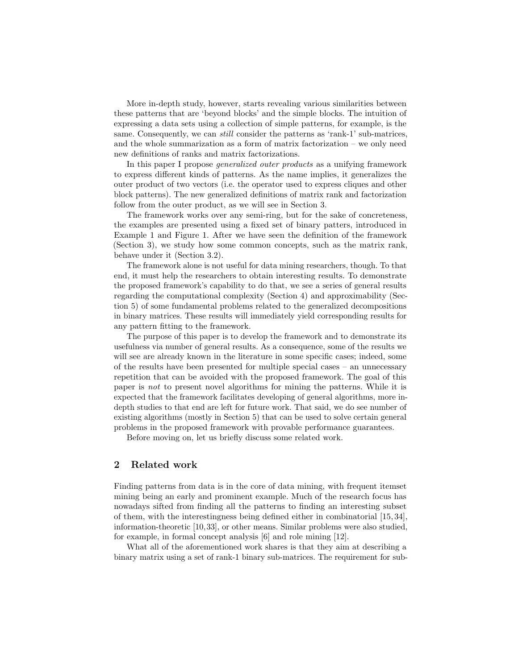More in-depth study, however, starts revealing various similarities between these patterns that are 'beyond blocks' and the simple blocks. The intuition of expressing a data sets using a collection of simple patterns, for example, is the same. Consequently, we can *still* consider the patterns as 'rank-1' sub-matrices, and the whole summarization as a form of matrix factorization  $-$  we only need new definitions of ranks and matrix factorizations.

In this paper I propose *generalized outer products* as a unifying framework to express different kinds of patterns. As the name implies, it generalizes the outer product of two vectors (i.e. the operator used to express cliques and other block patterns). The new generalized definitions of matrix rank and factorization follow from the outer product, as we will see in Section 3.

The framework works over any semi-ring, but for the sake of concreteness, the examples are presented using a fixed set of binary patters, introduced in Example 1 and Figure 1. After we have seen the definition of the framework (Section 3), we study how some common concepts, such as the matrix rank, behave under it (Section 3.2).

The framework alone is not useful for data mining researchers, though. To that end, it must help the researchers to obtain interesting results. To demonstrate the proposed framework's capability to do that, we see a series of general results regarding the computational complexity (Section 4) and approximability (Section 5) of some fundamental problems related to the generalized decompositions in binary matrices. These results will immediately yield corresponding results for any pattern fitting to the framework.

The purpose of this paper is to develop the framework and to demonstrate its usefulness via number of general results. As a consequence, some of the results we will see are already known in the literature in some specific cases; indeed, some of the results have been presented for multiple special cases – an unnecessary repetition that can be avoided with the proposed framework. The goal of this paper is not to present novel algorithms for mining the patterns. While it is expected that the framework facilitates developing of general algorithms, more indepth studies to that end are left for future work. That said, we do see number of existing algorithms (mostly in Section 5) that can be used to solve certain general problems in the proposed framework with provable performance guarantees.

Before moving on, let us briefly discuss some related work.

## 2 Related work

Finding patterns from data is in the core of data mining, with frequent itemset mining being an early and prominent example. Much of the research focus has nowadays sifted from finding all the patterns to finding an interesting subset of them, with the interestingness being defined either in combinatorial [15, 34], information-theoretic [10, 33], or other means. Similar problems were also studied, for example, in formal concept analysis [6] and role mining [12].

What all of the aforementioned work shares is that they aim at describing a binary matrix using a set of rank-1 binary sub-matrices. The requirement for sub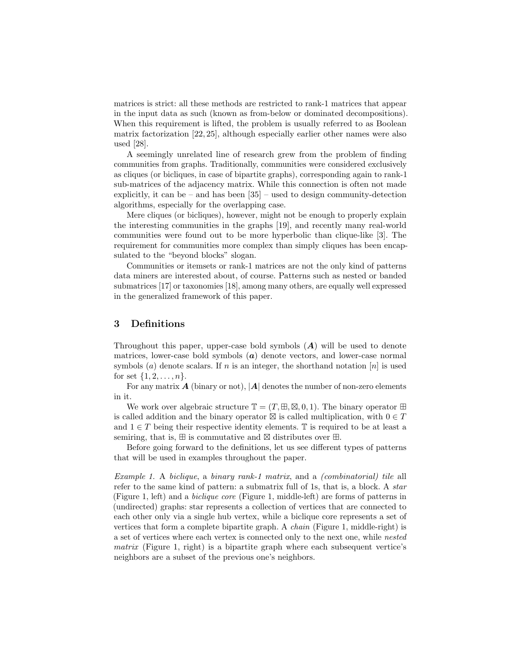matrices is strict: all these methods are restricted to rank-1 matrices that appear in the input data as such (known as from-below or dominated decompositions). When this requirement is lifted, the problem is usually referred to as Boolean matrix factorization [22, 25], although especially earlier other names were also used [28].

A seemingly unrelated line of research grew from the problem of finding communities from graphs. Traditionally, communities were considered exclusively as cliques (or bicliques, in case of bipartite graphs), corresponding again to rank-1 sub-matrices of the adjacency matrix. While this connection is often not made explicitly, it can be – and has been  $[35]$  – used to design community-detection algorithms, especially for the overlapping case.

Mere cliques (or bicliques), however, might not be enough to properly explain the interesting communities in the graphs [19], and recently many real-world communities were found out to be more hyperbolic than clique-like [3]. The requirement for communities more complex than simply cliques has been encapsulated to the "beyond blocks" slogan.

Communities or itemsets or rank-1 matrices are not the only kind of patterns data miners are interested about, of course. Patterns such as nested or banded submatrices [17] or taxonomies [18], among many others, are equally well expressed in the generalized framework of this paper.

## 3 Definitions

Throughout this paper, upper-case bold symbols  $(A)$  will be used to denote matrices, lower-case bold symbols  $(a)$  denote vectors, and lower-case normal symbols (a) denote scalars. If n is an integer, the shorthand notation [n] is used for set  $\{1, 2, ..., n\}$ .

For any matrix  $\bf{A}$  (binary or not),  $|\bf{A}|$  denotes the number of non-zero elements in it.

We work over algebraic structure  $\mathbb{T} = (T, \boxplus, \boxtimes, 0, 1)$ . The binary operator  $\boxplus$ is called addition and the binary operator  $\overline{\boxtimes}$  is called multiplication, with  $0 \in T$ and  $1 \in T$  being their respective identity elements. T is required to be at least a semiring, that is,  $\boxplus$  is commutative and  $\boxtimes$  distributes over  $\boxplus$ .

Before going forward to the definitions, let us see different types of patterns that will be used in examples throughout the paper.

Example 1. A biclique, a binary rank-1 matrix, and a (combinatorial) tile all refer to the same kind of pattern: a submatrix full of 1s, that is, a block. A star (Figure 1, left) and a biclique core (Figure 1, middle-left) are forms of patterns in (undirected) graphs: star represents a collection of vertices that are connected to each other only via a single hub vertex, while a biclique core represents a set of vertices that form a complete bipartite graph. A chain (Figure 1, middle-right) is a set of vertices where each vertex is connected only to the next one, while nested matrix (Figure 1, right) is a bipartite graph where each subsequent vertice's neighbors are a subset of the previous one's neighbors.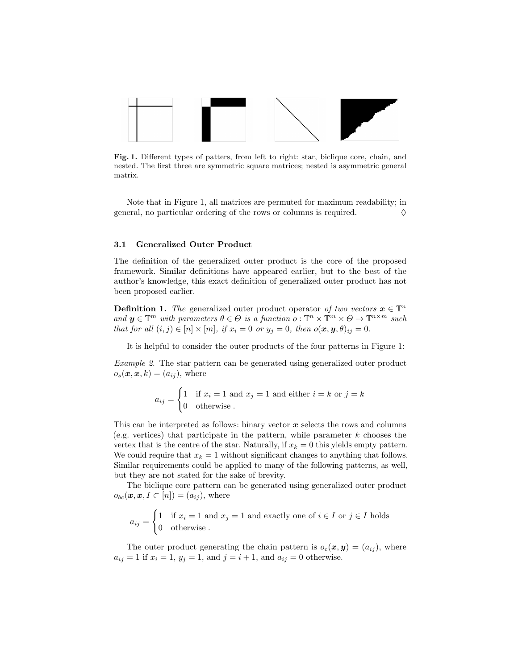

Fig. 1. Different types of patters, from left to right: star, biclique core, chain, and nested. The first three are symmetric square matrices; nested is asymmetric general matrix.

Note that in Figure 1, all matrices are permuted for maximum readability; in general, no particular ordering of the rows or columns is required.  $\Diamond$ 

#### 3.1 Generalized Outer Product

The definition of the generalized outer product is the core of the proposed framework. Similar definitions have appeared earlier, but to the best of the author's knowledge, this exact definition of generalized outer product has not been proposed earlier.

**Definition 1.** The generalized outer product operator of two vectors  $x \in \mathbb{T}^n$ and  $y \in \mathbb{T}^m$  with parameters  $\theta \in \Theta$  is a function  $o: \mathbb{T}^n \times \mathbb{T}^m \times \Theta \to \mathbb{T}^{n \times m}$  such that for all  $(i, j) \in [n] \times [m]$ , if  $x_i = 0$  or  $y_j = 0$ , then  $o(\mathbf{x}, \mathbf{y}, \theta)_{ij} = 0$ .

It is helpful to consider the outer products of the four patterns in Figure 1:

Example 2. The star pattern can be generated using generalized outer product  $o_s(\boldsymbol{x}, \boldsymbol{x}, k) = (a_{ij})$ , where

$$
a_{ij} = \begin{cases} 1 & \text{if } x_i = 1 \text{ and } x_j = 1 \text{ and either } i = k \text{ or } j = k \\ 0 & \text{otherwise} \end{cases}
$$

This can be interpreted as follows: binary vector  $x$  selects the rows and columns (e.g. vertices) that participate in the pattern, while parameter  $k$  chooses the vertex that is the centre of the star. Naturally, if  $x_k = 0$  this yields empty pattern. We could require that  $x_k = 1$  without significant changes to anything that follows. Similar requirements could be applied to many of the following patterns, as well, but they are not stated for the sake of brevity.

The biclique core pattern can be generated using generalized outer product  $o_{bc}(\boldsymbol{x}, \boldsymbol{x}, I \subset [n]) = (a_{ij}),$  where

$$
a_{ij} = \begin{cases} 1 & \text{if } x_i = 1 \text{ and } x_j = 1 \text{ and exactly one of } i \in I \text{ or } j \in I \text{ holds} \\ 0 & \text{otherwise} \end{cases}
$$

The outer product generating the chain pattern is  $o_c(\boldsymbol{x}, \boldsymbol{y}) = (a_{ij})$ , where  $a_{ij} = 1$  if  $x_i = 1, y_j = 1$ , and  $j = i + 1$ , and  $a_{ij} = 0$  otherwise.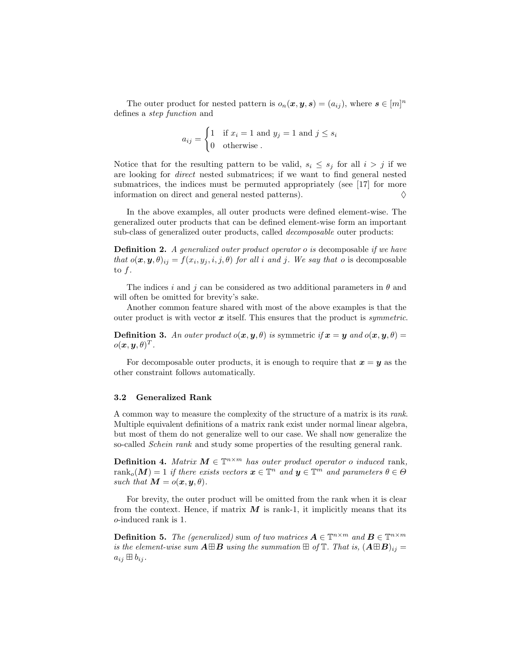The outer product for nested pattern is  $o_n(\boldsymbol{x}, \boldsymbol{y}, \boldsymbol{s}) = (a_{ij})$ , where  $\boldsymbol{s} \in [m]^n$ defines a step function and

$$
a_{ij} = \begin{cases} 1 & \text{if } x_i = 1 \text{ and } y_j = 1 \text{ and } j \le s_i \\ 0 & \text{otherwise} \end{cases}
$$

Notice that for the resulting pattern to be valid,  $s_i \leq s_j$  for all  $i > j$  if we are looking for direct nested submatrices; if we want to find general nested submatrices, the indices must be permuted appropriately (see [17] for more information on direct and general nested patterns).  $\Diamond$ 

In the above examples, all outer products were defined element-wise. The generalized outer products that can be defined element-wise form an important sub-class of generalized outer products, called decomposable outer products:

**Definition 2.** A generalized outer product operator o is decomposable if we have that  $o(\mathbf{x}, \mathbf{y}, \theta)_{ij} = f(x_i, y_j, i, j, \theta)$  for all i and j. We say that o is decomposable to  $f$ .

The indices i and j can be considered as two additional parameters in  $\theta$  and will often be omitted for brevity's sake.

Another common feature shared with most of the above examples is that the outer product is with vector  $x$  itself. This ensures that the product is symmetric.

**Definition 3.** An outer product  $o(x, y, \theta)$  is symmetric if  $x = y$  and  $o(x, y, \theta) =$  $o(\boldsymbol{x},\boldsymbol{y},\theta)^T$  .

For decomposable outer products, it is enough to require that  $x = y$  as the other constraint follows automatically.

#### 3.2 Generalized Rank

A common way to measure the complexity of the structure of a matrix is its rank. Multiple equivalent definitions of a matrix rank exist under normal linear algebra, but most of them do not generalize well to our case. We shall now generalize the so-called *Schein rank* and study some properties of the resulting general rank.

**Definition 4.** Matrix  $M \in \mathbb{T}^{n \times m}$  has outer product operator o induced rank,  $\text{rank}_{o}(M) = 1$  if there exists vectors  $\boldsymbol{x} \in \mathbb{T}^n$  and  $\boldsymbol{y} \in \mathbb{T}^m$  and parameters  $\theta \in \Theta$ such that  $\mathbf{M} = o(\mathbf{x}, \mathbf{y}, \theta)$ .

For brevity, the outer product will be omitted from the rank when it is clear from the context. Hence, if matrix  $M$  is rank-1, it implicitly means that its o-induced rank is 1.

**Definition 5.** The (generalized) sum of two matrices  $A \in \mathbb{T}^{n \times m}$  and  $B \in \mathbb{T}^{n \times m}$ is the element-wise sum  $\mathbf{A}\boxplus\mathbf{B}$  using the summation  $\boxplus$  of  $\mathbb T$ . That is,  $(\mathbf{A}\boxplus\mathbf{B})_{ij} =$  $a_{ij} \boxplus b_{ij}$ .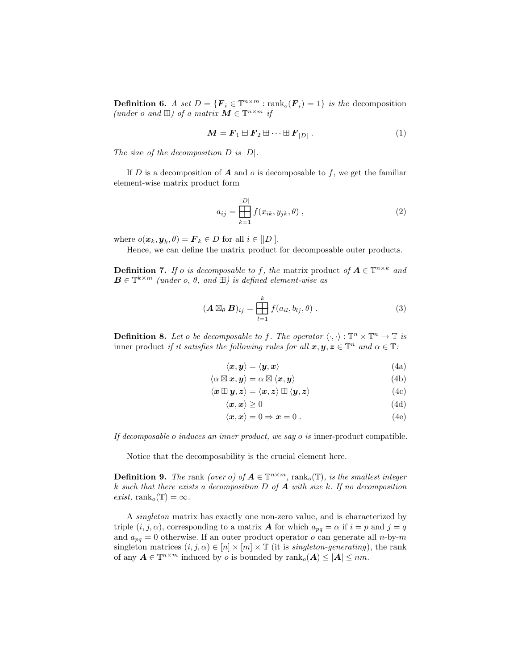**Definition 6.** A set  $D = \{ \mathbf{F}_i \in \mathbb{T}^{n \times m} : \text{rank}_o(\mathbf{F}_i) = 1 \}$  is the decomposition (under o and  $\boxplus$ ) of a matrix  $\mathbf{M} \in \mathbb{T}^{n \times m}$  if

$$
M = \mathbf{F}_1 \boxplus \mathbf{F}_2 \boxplus \cdots \boxplus \mathbf{F}_{|D|} . \tag{1}
$$

The size of the decomposition  $D$  is  $|D|$ .

If D is a decomposition of  $\boldsymbol{A}$  and  $\boldsymbol{o}$  is decomposable to f, we get the familiar element-wise matrix product form

$$
a_{ij} = \prod_{k=1}^{|D|} f(x_{ik}, y_{jk}, \theta) ,
$$
 (2)

where  $o(\boldsymbol{x}_k, \boldsymbol{y}_k, \theta) = \boldsymbol{F}_k \in D$  for all  $i \in [D|]$ .

Hence, we can define the matrix product for decomposable outer products.

**Definition 7.** If o is decomposable to f, the matrix product of  $A \in \mathbb{T}^{n \times k}$  and  $\mathbf{B} \in \mathbb{T}^{k \times m}$  (under o,  $\theta$ , and  $\boxplus$ ) is defined element-wise as

$$
(\boldsymbol{A} \boxtimes_{\theta} \boldsymbol{B})_{ij} = \prod_{l=1}^{k} f(a_{il}, b_{lj}, \theta) .
$$
 (3)

**Definition 8.** Let o be decomposable to f. The operator  $\langle \cdot, \cdot \rangle : \mathbb{T}^n \times \mathbb{T}^n \to \mathbb{T}$  is inner product if it satisfies the following rules for all  $x, y, z \in \mathbb{T}^n$  and  $\alpha \in \mathbb{T}$ :

$$
\langle x, y \rangle = \langle y, x \rangle \tag{4a}
$$

$$
\langle \alpha \boxtimes \mathbf{x}, \mathbf{y} \rangle = \alpha \boxtimes \langle \mathbf{x}, \mathbf{y} \rangle \tag{4b}
$$

$$
\langle x \boxplus y, z \rangle = \langle x, z \rangle \boxplus \langle y, z \rangle \tag{4c}
$$

$$
\langle x, x \rangle \ge 0 \tag{4d}
$$

$$
\langle x, x \rangle = 0 \Rightarrow x = 0. \tag{4e}
$$

If decomposable o induces an inner product, we say o is inner-product compatible.

Notice that the decomposability is the crucial element here.

**Definition 9.** The rank (over o) of  $A \in \mathbb{T}^{n \times m}$ , rank<sub>o</sub>( $\mathbb{T}$ ), is the smallest integer k such that there exists a decomposition  $D$  of  $A$  with size k. If no decomposition exist, rank<sub>o</sub>(T) =  $\infty$ .

A singleton matrix has exactly one non-zero value, and is characterized by triple  $(i, j, \alpha)$ , corresponding to a matrix **A** for which  $a_{pq} = \alpha$  if  $i = p$  and  $j = q$ and  $a_{pq} = 0$  otherwise. If an outer product operator o can generate all n-by-m singleton matrices  $(i, j, \alpha) \in [n] \times [m] \times \mathbb{T}$  (it is *singleton-generating*), the rank of any  $A \in \mathbb{T}^{n \times m}$  induced by *o* is bounded by  $\text{rank}_o(A) \leq |A| \leq nm$ .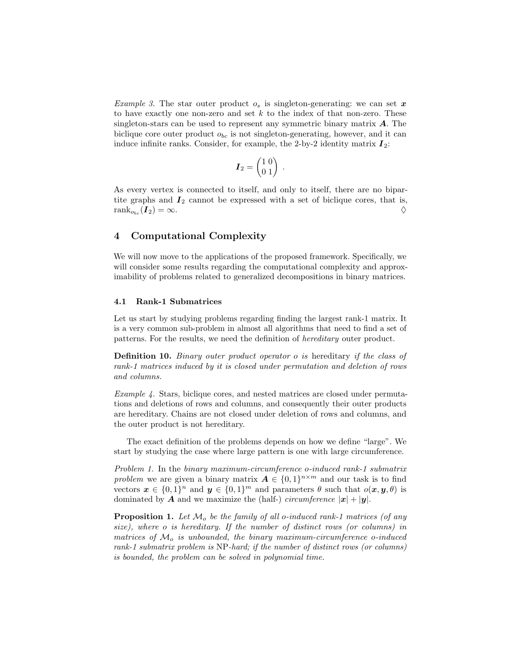*Example 3.* The star outer product  $o_s$  is singleton-generating: we can set x to have exactly one non-zero and set  $k$  to the index of that non-zero. These singleton-stars can be used to represent any symmetric binary matrix  $A$ . The biclique core outer product  $o_{bc}$  is not singleton-generating, however, and it can induce infinite ranks. Consider, for example, the 2-by-2 identity matrix  $I_2$ :

$$
\boldsymbol{I}_2 = \begin{pmatrix} 1 & 0 \\ 0 & 1 \end{pmatrix}
$$

.

As every vertex is connected to itself, and only to itself, there are no bipartite graphs and  $I_2$  cannot be expressed with a set of biclique cores, that is,  $\text{rank}_{o_{bc}}(\boldsymbol{I}_2) = \infty.$ 

# 4 Computational Complexity

We will now move to the applications of the proposed framework. Specifically, we will consider some results regarding the computational complexity and approximability of problems related to generalized decompositions in binary matrices.

#### 4.1 Rank-1 Submatrices

Let us start by studying problems regarding finding the largest rank-1 matrix. It is a very common sub-problem in almost all algorithms that need to find a set of patterns. For the results, we need the definition of hereditary outer product.

Definition 10. Binary outer product operator o is hereditary if the class of rank-1 matrices induced by it is closed under permutation and deletion of rows and columns.

Example 4. Stars, biclique cores, and nested matrices are closed under permutations and deletions of rows and columns, and consequently their outer products are hereditary. Chains are not closed under deletion of rows and columns, and the outer product is not hereditary.

The exact definition of the problems depends on how we define "large". We start by studying the case where large pattern is one with large circumference.

Problem 1. In the binary maximum-circumference o-induced rank-1 submatrix problem we are given a binary matrix  $A \in \{0,1\}^{n \times m}$  and our task is to find vectors  $\mathbf{x} \in \{0,1\}^n$  and  $\mathbf{y} \in \{0,1\}^m$  and parameters  $\theta$  such that  $o(\mathbf{x}, \mathbf{y}, \theta)$  is dominated by **A** and we maximize the (half-) *circumference*  $|\mathbf{x}| + |\mathbf{y}|$ .

**Proposition 1.** Let  $\mathcal{M}_o$  be the family of all o-induced rank-1 matrices (of any size), where o is hereditary. If the number of distinct rows (or columns) in matrices of  $\mathcal{M}_o$  is unbounded, the binary maximum-circumference o-induced rank-1 submatrix problem is NP-hard; if the number of distinct rows (or columns) is bounded, the problem can be solved in polynomial time.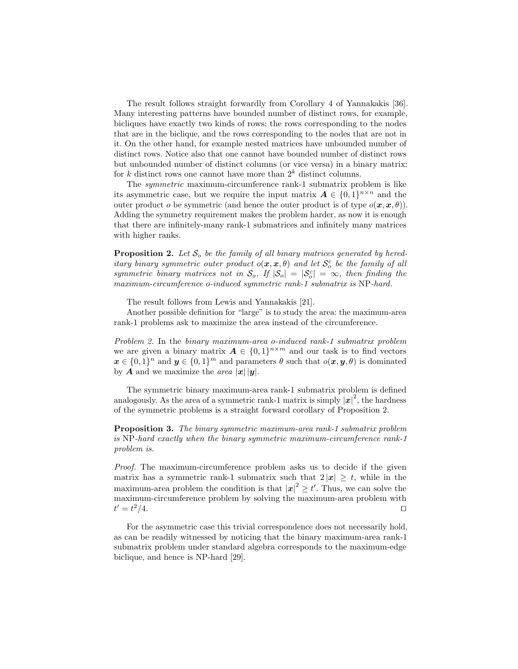The result follows straight forwardly from Corollary 4 of Yannakakis [36]. Many interesting patterns have bounded number of distinct rows, for example, bicliques have exactly two kinds of rows: the rows corresponding to the nodes that are in the biclique, and the rows corresponding to the nodes that are not in it. On the other hand, for example nested matrices have unbounded number of distinct rows. Notice also that one cannot have bounded number of distinct rows but unbounded number of distinct columns (or vice versa) in a binary matrix: for k distinct rows one cannot have more than  $2^k$  distinct columns.

The symmetric maximum-circumference rank-1 submatrix problem is like its asymmetric case, but we require the input matrix  $\mathbf{A} \in \{0,1\}^{n \times n}$  and the outer product *o* be symmetric (and hence the outer product is of type  $o(\mathbf{x}, \mathbf{x}, \theta)$ ). Adding the symmetry requirement makes the problem harder, as now it is enough that there are infinitely-many rank-1 submatrices and infinitely many matrices with higher ranks.

**Proposition 2.** Let  $\mathcal{S}_o$  be the family of all binary matrices generated by hereditary binary symmetric outer product  $o(x, x, \theta)$  and let  $S_o^c$  be the family of all symmetric binary matrices not in  $S_o$ . If  $|S_o| = |S_o^c| = \infty$ , then finding the maximum-circumference o-induced symmetric rank-1 submatrix is NP-hard.

The result follows from Lewis and Yannakakis [21].

Another possible definition for "large" is to study the area: the maximum-area rank-1 problems ask to maximize the area instead of the circumference.

Problem 2. In the binary maximum-area o-induced rank-1 submatrix problem we are given a binary matrix  $\mathbf{A} \in \{0,1\}^{n \times m}$  and our task is to find vectors  $\boldsymbol{x} \in \{0,1\}^n$  and  $\boldsymbol{y} \in \{0,1\}^m$  and parameters  $\theta$  such that  $o(\boldsymbol{x}, \boldsymbol{y}, \theta)$  is dominated by **A** and we maximize the *area*  $|x| |y|$ .

The symmetric binary maximum-area rank-1 submatrix problem is defined analogously. As the area of a symmetric rank-1 matrix is simply  $|x|^2$ , the hardness of the symmetric problems is a straight forward corollary of Proposition 2.

Proposition 3. The binary symmetric maximum-area rank-1 submatrix problem is NP-hard exactly when the binary symmetric maximum-circumference rank-1 problem is.

Proof. The maximum-circumference problem asks us to decide if the given matrix has a symmetric rank-1 submatrix such that  $2|x| \geq t$ , while in the maximum-area problem the condition is that  $|x|^2 \ge t'$ . Thus, we can solve the maximum-circumference problem by solving the maximum-area problem with  $t'=t$  $\frac{2}{4}$ .

For the asymmetric case this trivial correspondence does not necessarily hold, as can be readily witnessed by noticing that the binary maximum-area rank-1 submatrix problem under standard algebra corresponds to the maximum-edge biclique, and hence is NP-hard [29].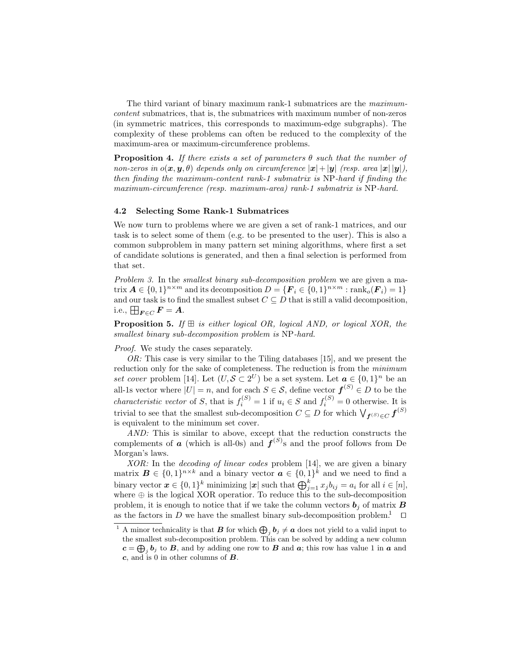The third variant of binary maximum rank-1 submatrices are the maximumcontent submatrices, that is, the submatrices with maximum number of non-zeros (in symmetric matrices, this corresponds to maximum-edge subgraphs). The complexity of these problems can often be reduced to the complexity of the maximum-area or maximum-circumference problems.

**Proposition 4.** If there exists a set of parameters  $\theta$  such that the number of non-zeros in  $o(x, y, \theta)$  depends only on circumference  $|x|+|y|$  (resp. area  $|x||y|$ ), then finding the maximum-content rank-1 submatrix is NP-hard if finding the maximum-circumference (resp. maximum-area) rank-1 submatrix is NP-hard.

#### 4.2 Selecting Some Rank-1 Submatrices

We now turn to problems where we are given a set of rank-1 matrices, and our task is to select some of them (e.g. to be presented to the user). This is also a common subproblem in many pattern set mining algorithms, where first a set of candidate solutions is generated, and then a final selection is performed from that set.

Problem 3. In the smallest binary sub-decomposition problem we are given a matrix  $A \in \{0,1\}^{n \times m}$  and its decomposition  $D = \{F_i \in \{0,1\}^{n \times m} : \text{rank}_o(F_i) = 1\}$ and our task is to find the smallest subset  $C \subseteq D$  that is still a valid decomposition, i.e.,  $\mathbb{H}_{\mathbf{F}\in C}$   $\mathbf{F} = \mathbf{A}$ .

**Proposition 5.** If  $\boxplus$  is either logical OR, logical AND, or logical XOR, the smallest binary sub-decomposition problem is NP-hard.

Proof. We study the cases separately.

 $OR:$  This case is very similar to the Tiling databases [15], and we present the reduction only for the sake of completeness. The reduction is from the minimum set cover problem [14]. Let  $(U, \mathcal{S} \subset 2^U)$  be a set system. Let  $\mathbf{a} \in \{0,1\}^n$  be an all-1s vector where  $|U| = n$ , and for each  $S \in \mathcal{S}$ , define vector  $f^{(S)} \in D$  to be the *characteristic vector* of S, that is  $f_i^{(S)} = 1$  if  $u_i \in S$  and  $f_i^{(S)} = 0$  otherwise. It is trivial to see that the smallest sub-decomposition  $C \subseteq D$  for which  $\bigvee_{f^{(S)} \in C} f^{(S)}$ is equivalent to the minimum set cover.

AND: This is similar to above, except that the reduction constructs the complements of  $\boldsymbol{a}$  (which is all-0s) and  $\boldsymbol{f}^{(S)}$  and the proof follows from De Morgan's laws.

 $XOR:$  In the *decoding of linear codes* problem [14], we are given a binary matrix  $\mathbf{B} \in \{0,1\}^{n \times k}$  and a binary vector  $\mathbf{a} \in \{0,1\}^{k}$  and we need to find a binary vector  $\boldsymbol{x} \in \{0,1\}^k$  minimizing  $|\boldsymbol{x}|$  such that  $\bigoplus_{j=1}^k x_j b_{ij} = a_i$  for all  $i \in [n]$ , where ⊕ is the logical XOR operatior. To reduce this to the sub-decomposition problem, it is enough to notice that if we take the column vectors  $\mathbf{b}_i$  of matrix **B** as the factors in  $D$  we have the smallest binary sub-decomposition problem.<sup>1</sup>

<sup>&</sup>lt;sup>1</sup> A minor technicality is that **B** for which  $\bigoplus_j \mathbf{b}_j \neq \mathbf{a}$  does not yield to a valid input to the smallest sub-decomposition problem. This can be solved by adding a new column  $c = \bigoplus_j b_j$  to B, and by adding one row to B and a; this row has value 1 in a and  $c$ , and is 0 in other columns of  $B$ .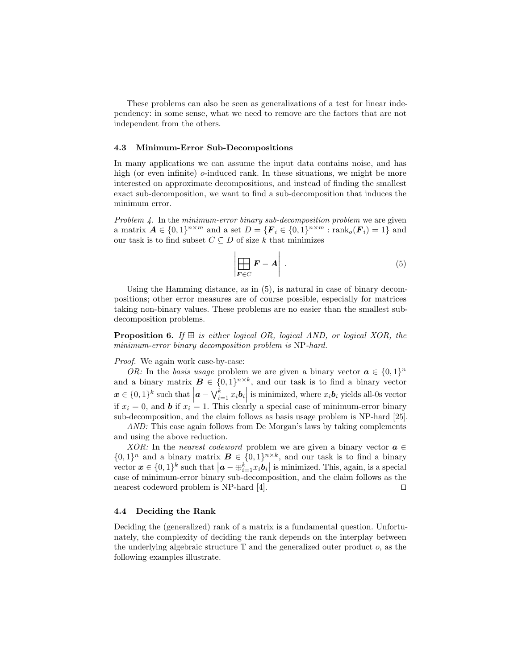These problems can also be seen as generalizations of a test for linear independency: in some sense, what we need to remove are the factors that are not independent from the others.

#### 4.3 Minimum-Error Sub-Decompositions

In many applications we can assume the input data contains noise, and has high (or even infinite) *o*-induced rank. In these situations, we might be more interested on approximate decompositions, and instead of finding the smallest exact sub-decomposition, we want to find a sub-decomposition that induces the minimum error.

Problem  $\lambda$ . In the minimum-error binary sub-decomposition problem we are given a matrix  $\mathbf{A} \in \{0,1\}^{n \times m}$  and a set  $D = \{\mathbf{F}_i \in \{0,1\}^{n \times m} : \text{rank}_o(\mathbf{F}_i) = 1\}$  and our task is to find subset  $C \subseteq D$  of size k that minimizes

 $\overline{1}$ 

$$
\left|\prod_{\mathbf{F}\in C} \mathbf{F} - \mathbf{A}\right| \,. \tag{5}
$$

Using the Hamming distance, as in (5), is natural in case of binary decompositions; other error measures are of course possible, especially for matrices taking non-binary values. These problems are no easier than the smallest subdecomposition problems.

**Proposition 6.** If  $\boxplus$  is either logical OR, logical AND, or logical XOR, the minimum-error binary decomposition problem is NP-hard.

#### Proof. We again work case-by-case:

*OR*: In the *basis usage* problem we are given a binary vector  $\boldsymbol{a} \in \{0,1\}^n$ and a binary matrix  $\mathbf{B} \in \{0,1\}^{n \times k}$ , and our task is to find a binary vector  $\mathbf{x} \in \{0,1\}^k$  such that  $\left|\mathbf{a} - \bigvee_{i=1}^k x_i \mathbf{b}_i\right|$  is minimized, where  $x_i \mathbf{b}_i$  yields all-0s vector if  $x_i = 0$ , and **b** if  $x_i = 1$ . This clearly a special case of minimum-error binary sub-decomposition, and the claim follows as basis usage problem is NP-hard [25].

AND: This case again follows from De Morgan's laws by taking complements and using the above reduction.

XOR: In the nearest codeword problem we are given a binary vector  $a \in$  $\{0,1\}^n$  and a binary matrix  $\mathbf{B} \in \{0,1\}^{n \times k}$ , and our task is to find a binary vector  $\boldsymbol{x} \in \{0,1\}^k$  such that  $|\boldsymbol{a} - \bigoplus_{i=1}^k x_i \boldsymbol{b}_i|$  is minimized. This, again, is a special case of minimum-error binary sub-decomposition, and the claim follows as the nearest codeword problem is NP-hard  $|4|$ .  $\square$ 

#### 4.4 Deciding the Rank

Deciding the (generalized) rank of a matrix is a fundamental question. Unfortunately, the complexity of deciding the rank depends on the interplay between the underlying algebraic structure  $T$  and the generalized outer product  $o$ , as the following examples illustrate.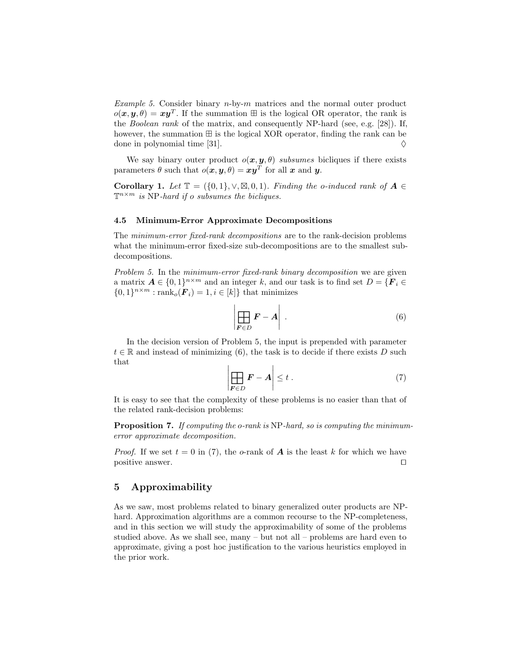Example 5. Consider binary  $n$ -by- $m$  matrices and the normal outer product  $o(x, y, \theta) = xy^T$ . If the summation  $\boxplus$  is the logical OR operator, the rank is the Boolean rank of the matrix, and consequently NP-hard (see, e.g. [28]). If, however, the summation  $\boxplus$  is the logical XOR operator, finding the rank can be done in polynomial time [31].  $\Diamond$ 

We say binary outer product  $o(x, y, \theta)$  subsumes bicliques if there exists parameters  $\theta$  such that  $o(\boldsymbol{x}, \boldsymbol{y}, \theta) = \boldsymbol{x} \boldsymbol{y}^T$  for all  $\boldsymbol{x}$  and  $\boldsymbol{y}$ .

Corollary 1. Let  $\mathbb{T} = (\{0,1\}, \vee, \boxtimes, 0, 1)$ . Finding the o-induced rank of  $A \in$  $\mathbb{T}^{n \times m}$  is NP-hard if o subsumes the bicliques.

#### 4.5 Minimum-Error Approximate Decompositions

The minimum-error fixed-rank decompositions are to the rank-decision problems what the minimum-error fixed-size sub-decompositions are to the smallest subdecompositions.

Problem 5. In the minimum-error fixed-rank binary decomposition we are given a matrix  $A \in \{0,1\}^{n \times m}$  and an integer k, and our task is to find set  $D = \{F_i \in$  $\{0,1\}^{n \times m}$ : rank<sub>o</sub> $(\mathbf{F}_i) = 1, i \in [k]$  that minimizes

$$
\left|\prod_{\mathbf{F}\in D}\mathbf{F}-\mathbf{A}\right|\,. \tag{6}
$$

In the decision version of Problem 5, the input is prepended with parameter  $t \in \mathbb{R}$  and instead of minimizing (6), the task is to decide if there exists D such that

$$
\left| \prod_{\mathbf{F} \in D} \mathbf{F} - \mathbf{A} \right| \le t \,. \tag{7}
$$

It is easy to see that the complexity of these problems is no easier than that of the related rank-decision problems:

Proposition 7. If computing the o-rank is NP-hard, so is computing the minimumerror approximate decomposition.

*Proof.* If we set  $t = 0$  in (7), the o-rank of **A** is the least k for which we have positive answer.  $\Box$ 

# 5 Approximability

As we saw, most problems related to binary generalized outer products are NPhard. Approximation algorithms are a common recourse to the NP-completeness, and in this section we will study the approximability of some of the problems studied above. As we shall see, many – but not all – problems are hard even to approximate, giving a post hoc justification to the various heuristics employed in the prior work.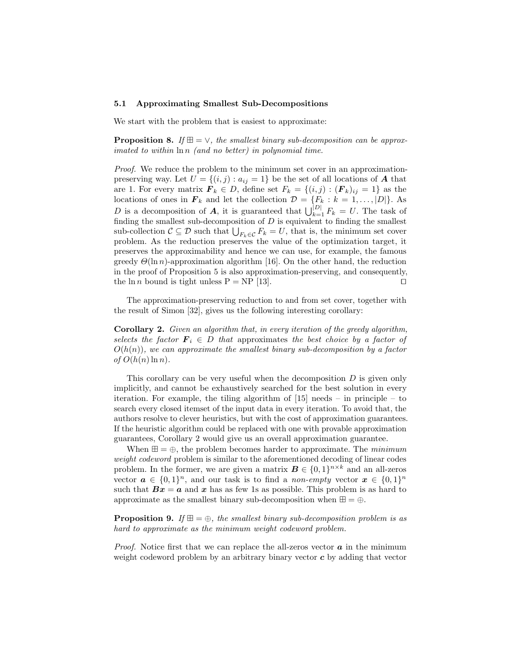#### 5.1 Approximating Smallest Sub-Decompositions

We start with the problem that is easiest to approximate:

**Proposition 8.** If  $\mathbb{H} = \vee$ , the smallest binary sub-decomposition can be approximated to within  $\ln n$  (and no better) in polynomial time.

Proof. We reduce the problem to the minimum set cover in an approximationpreserving way. Let  $U = \{(i, j) : a_{ij} = 1\}$  be the set of all locations of A that are 1. For every matrix  $\mathbf{F}_k \in D$ , define set  $F_k = \{(i, j) : (\mathbf{F}_k)_{ij} = 1\}$  as the locations of ones in  $\mathbf{F}_k$  and let the collection  $\mathcal{D} = \{F_k : k = 1, ..., |D|\}$ . As D is a decomposition of **A**, it is guaranteed that  $\bigcup_{k=1}^{|D|} F_k = U$ . The task of finding the smallest sub-decomposition of  $D$  is equivalent to finding the smallest sub-collection  $C \subseteq \mathcal{D}$  such that  $\bigcup_{F_k \in \mathcal{C}} F_k = U$ , that is, the minimum set cover problem. As the reduction preserves the value of the optimization target, it preserves the approximability and hence we can use, for example, the famous greedy  $\Theta(\ln n)$ -approximation algorithm [16]. On the other hand, the reduction in the proof of Proposition 5 is also approximation-preserving, and consequently, the ln *n* bound is tight unless  $P = NP$  [13].

The approximation-preserving reduction to and from set cover, together with the result of Simon [32], gives us the following interesting corollary:

Corollary 2. Given an algorithm that, in every iteration of the greedy algorithm, selects the factor  $\mathbf{F}_i \in D$  that approximates the best choice by a factor of  $O(h(n))$ , we can approximate the smallest binary sub-decomposition by a factor of  $O(h(n) \ln n)$ .

This corollary can be very useful when the decomposition  $D$  is given only implicitly, and cannot be exhaustively searched for the best solution in every iteration. For example, the tiling algorithm of [15] needs – in principle – to search every closed itemset of the input data in every iteration. To avoid that, the authors resolve to clever heuristics, but with the cost of approximation guarantees. If the heuristic algorithm could be replaced with one with provable approximation guarantees, Corollary 2 would give us an overall approximation guarantee.

When  $\mathbb{H} = \oplus$ , the problem becomes harder to approximate. The minimum weight codeword problem is similar to the aforementioned decoding of linear codes problem. In the former, we are given a matrix  $\mathbf{B} \in \{0,1\}^{n \times k}$  and an all-zeros vector  $\boldsymbol{a} \in \{0,1\}^n$ , and our task is to find a non-empty vector  $\boldsymbol{x} \in \{0,1\}^n$ such that  $Bx = a$  and x has as few 1s as possible. This problem is as hard to approximate as the smallest binary sub-decomposition when  $\mathbb{H} = \oplus$ .

**Proposition 9.** If  $\mathbb{H} = \oplus$ , the smallest binary sub-decomposition problem is as hard to approximate as the minimum weight codeword problem.

*Proof.* Notice first that we can replace the all-zeros vector  $\boldsymbol{a}$  in the minimum weight codeword problem by an arbitrary binary vector  $c$  by adding that vector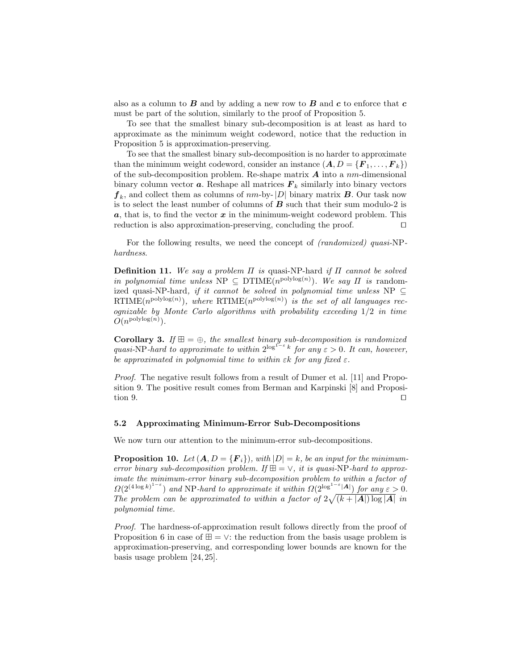also as a column to  $\bm{B}$  and by adding a new row to  $\bm{B}$  and  $\bm{c}$  to enforce that  $\bm{c}$ must be part of the solution, similarly to the proof of Proposition 5.

To see that the smallest binary sub-decomposition is at least as hard to approximate as the minimum weight codeword, notice that the reduction in Proposition 5 is approximation-preserving.

To see that the smallest binary sub-decomposition is no harder to approximate than the minimum weight codeword, consider an instance  $(A, D = \{F_1, \ldots, F_k\})$ of the sub-decomposition problem. Re-shape matrix  $\boldsymbol{A}$  into a  $nm$ -dimensional binary column vector  $\boldsymbol{a}$ . Reshape all matrices  $\boldsymbol{F}_k$  similarly into binary vectors  $f_k$ , and collect them as columns of  $nm$ -by- $|D|$  binary matrix **B**. Our task now is to select the least number of columns of  $B$  such that their sum modulo-2 is a, that is, to find the vector  $x$  in the minimum-weight codeword problem. This reduction is also approximation-preserving, concluding the proof.  $\Box$ 

For the following results, we need the concept of (randomized) quasi-NPhardness.

**Definition 11.** We say a problem  $\Pi$  is quasi-NP-hard if  $\Pi$  cannot be solved in polynomial time unless  $NP \subseteq DTIME(n^{polylog(n)})$ . We say  $\Pi$  is randomized quasi-NP-hard, if it cannot be solved in polynomial time unless NP  $\subseteq$  $\mathrm{RTIME}(n^{\mathrm{polylog}(n)})$ , where  $\mathrm{RTIME}(n^{\mathrm{polylog}(n)})$  is the set of all languages recognizable by Monte Carlo algorithms with probability exceeding 1/2 in time  $O(n^{\text{polylog}(n)})$ .

Corollary 3. If  $\mathbb{H} = \oplus$ , the smallest binary sub-decomposition is randomized quasi-NP-hard to approximate to within  $2^{\log^{1-\varepsilon} k}$  for any  $\varepsilon > 0$ . It can, however, be approximated in polynomial time to within  $\epsilon k$  for any fixed  $\epsilon$ .

Proof. The negative result follows from a result of Dumer et al. [11] and Proposition 9. The positive result comes from Berman and Karpinski [8] and Proposition 9.  $\Box$ 

#### 5.2 Approximating Minimum-Error Sub-Decompositions

We now turn our attention to the minimum-error sub-decompositions.

**Proposition 10.** Let  $(A, D = \{F_i\})$ , with  $|D| = k$ , be an input for the minimumerror binary sub-decomposition problem. If  $\mathbb{H} = \vee$ , it is quasi-NP-hard to approximate the minimum-error binary sub-decomposition problem to within a factor of  $\Omega(2^{(4\log k)^{1-\varepsilon}})$  and NP-hard to approximate it within  $\Omega(2^{\log^{1-\varepsilon}|A|})$  for any  $\varepsilon > 0$ . The problem can be approximated to within a factor of  $2\sqrt{(k+|A|)\log|A|}$  in polynomial time.

Proof. The hardness-of-approximation result follows directly from the proof of Proposition 6 in case of  $\mathbb{H} = \vee$ : the reduction from the basis usage problem is approximation-preserving, and corresponding lower bounds are known for the basis usage problem [24, 25].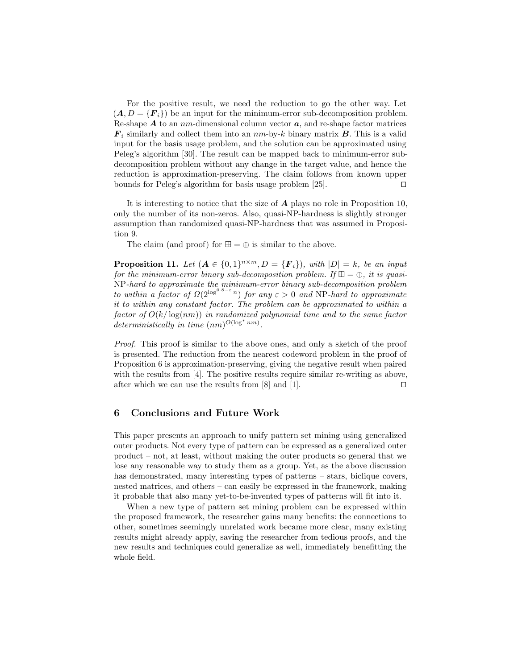For the positive result, we need the reduction to go the other way. Let  $(A, D = \{F_i\})$  be an input for the minimum-error sub-decomposition problem. Re-shape  $\boldsymbol{A}$  to an nm-dimensional column vector  $\boldsymbol{a}$ , and re-shape factor matrices  $\mathbf{F}_i$  similarly and collect them into an nm-by-k binary matrix  $\mathbf{B}$ . This is a valid input for the basis usage problem, and the solution can be approximated using Peleg's algorithm [30]. The result can be mapped back to minimum-error subdecomposition problem without any change in the target value, and hence the reduction is approximation-preserving. The claim follows from known upper bounds for Peleg's algorithm for basis usage problem [25].  $\Box$ 

It is interesting to notice that the size of  $A$  plays no role in Proposition 10, only the number of its non-zeros. Also, quasi-NP-hardness is slightly stronger assumption than randomized quasi-NP-hardness that was assumed in Proposition 9.

The claim (and proof) for  $\mathbb{H} = \oplus$  is similar to the above.

**Proposition 11.** Let  $(A \in \{0,1\}^{n \times m}, D = \{F_i\})$ , with  $|D| = k$ , be an input for the minimum-error binary sub-decomposition problem. If  $\mathbb{H} = \oplus$ , it is quasi-NP-hard to approximate the minimum-error binary sub-decomposition problem to within a factor of  $\Omega(2^{\log^{0.8-\varepsilon} n})$  for any  $\varepsilon > 0$  and NP-hard to approximate it to within any constant factor. The problem can be approximated to within a factor of  $O(k/\log(nm))$  in randomized polynomial time and to the same factor  $deterministically \space in \space time \space (nm)^{O(\log^* nm)}.$ 

Proof. This proof is similar to the above ones, and only a sketch of the proof is presented. The reduction from the nearest codeword problem in the proof of Proposition 6 is approximation-preserving, giving the negative result when paired with the results from [4]. The positive results require similar re-writing as above, after which we can use the results from [8] and [1].  $\Box$ 

# 6 Conclusions and Future Work

This paper presents an approach to unify pattern set mining using generalized outer products. Not every type of pattern can be expressed as a generalized outer product – not, at least, without making the outer products so general that we lose any reasonable way to study them as a group. Yet, as the above discussion has demonstrated, many interesting types of patterns – stars, biclique covers, nested matrices, and others – can easily be expressed in the framework, making it probable that also many yet-to-be-invented types of patterns will fit into it.

When a new type of pattern set mining problem can be expressed within the proposed framework, the researcher gains many benefits: the connections to other, sometimes seemingly unrelated work became more clear, many existing results might already apply, saving the researcher from tedious proofs, and the new results and techniques could generalize as well, immediately benefitting the whole field.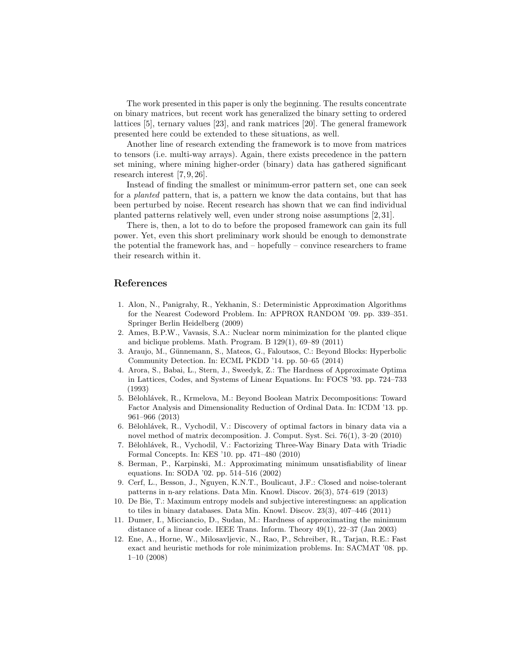The work presented in this paper is only the beginning. The results concentrate on binary matrices, but recent work has generalized the binary setting to ordered lattices [5], ternary values [23], and rank matrices [20]. The general framework presented here could be extended to these situations, as well.

Another line of research extending the framework is to move from matrices to tensors (i.e. multi-way arrays). Again, there exists precedence in the pattern set mining, where mining higher-order (binary) data has gathered significant research interest [7, 9, 26].

Instead of finding the smallest or minimum-error pattern set, one can seek for a planted pattern, that is, a pattern we know the data contains, but that has been perturbed by noise. Recent research has shown that we can find individual planted patterns relatively well, even under strong noise assumptions [2, 31].

There is, then, a lot to do to before the proposed framework can gain its full power. Yet, even this short preliminary work should be enough to demonstrate the potential the framework has, and – hopefully – convince researchers to frame their research within it.

# References

- 1. Alon, N., Panigrahy, R., Yekhanin, S.: Deterministic Approximation Algorithms for the Nearest Codeword Problem. In: APPROX RANDOM '09. pp. 339–351. Springer Berlin Heidelberg (2009)
- 2. Ames, B.P.W., Vavasis, S.A.: Nuclear norm minimization for the planted clique and biclique problems. Math. Program. B 129(1), 69–89 (2011)
- 3. Araujo, M., Günnemann, S., Mateos, G., Faloutsos, C.: Beyond Blocks: Hyperbolic Community Detection. In: ECML PKDD '14. pp. 50–65 (2014)
- 4. Arora, S., Babai, L., Stern, J., Sweedyk, Z.: The Hardness of Approximate Optima in Lattices, Codes, and Systems of Linear Equations. In: FOCS '93. pp. 724–733 (1993)
- 5. Bělohlávek, R., Krmelova, M.: Beyond Boolean Matrix Decompositions: Toward Factor Analysis and Dimensionality Reduction of Ordinal Data. In: ICDM '13. pp. 961–966 (2013)
- 6. Bělohlávek, R., Vychodil, V.: Discovery of optimal factors in binary data via a novel method of matrix decomposition. J. Comput. Syst. Sci. 76(1), 3–20 (2010)
- 7. Bělohlávek, R., Vychodil, V.: Factorizing Three-Way Binary Data with Triadic Formal Concepts. In: KES '10. pp. 471–480 (2010)
- 8. Berman, P., Karpinski, M.: Approximating minimum unsatisfiability of linear equations. In: SODA '02. pp. 514–516 (2002)
- 9. Cerf, L., Besson, J., Nguyen, K.N.T., Boulicaut, J.F.: Closed and noise-tolerant patterns in n-ary relations. Data Min. Knowl. Discov. 26(3), 574–619 (2013)
- 10. De Bie, T.: Maximum entropy models and subjective interestingness: an application to tiles in binary databases. Data Min. Knowl. Discov. 23(3), 407–446 (2011)
- 11. Dumer, I., Micciancio, D., Sudan, M.: Hardness of approximating the minimum distance of a linear code. IEEE Trans. Inform. Theory 49(1), 22–37 (Jan 2003)
- 12. Ene, A., Horne, W., Milosavljevic, N., Rao, P., Schreiber, R., Tarjan, R.E.: Fast exact and heuristic methods for role minimization problems. In: SACMAT '08. pp. 1–10 (2008)